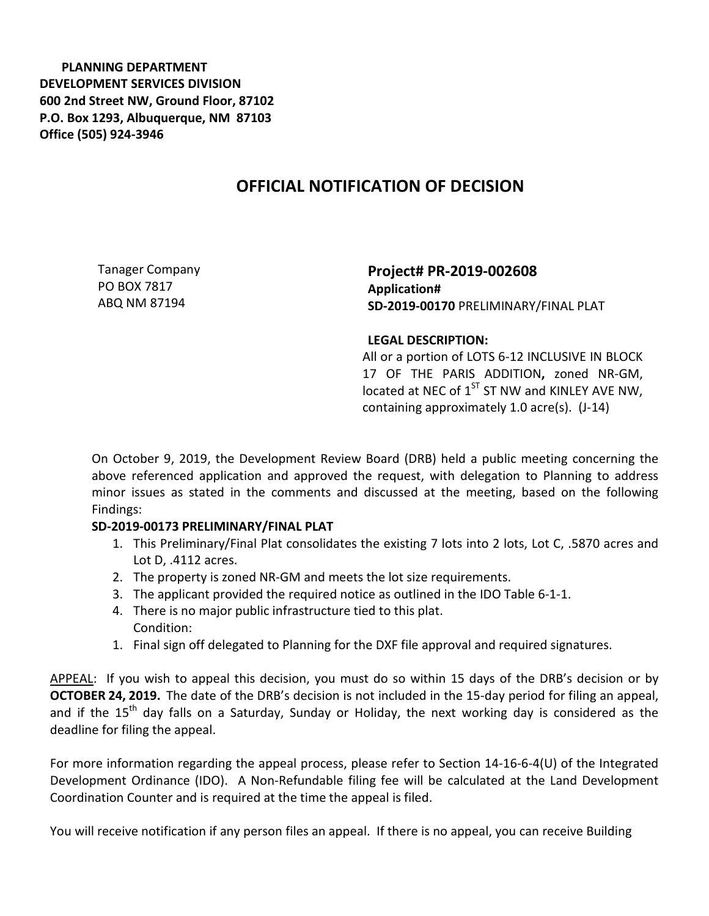**PLANNING DEPARTMENT DEVELOPMENT SERVICES DIVISION 600 2nd Street NW, Ground Floor, 87102 P.O. Box 1293, Albuquerque, NM 87103 Office (505) 924-3946** 

## **OFFICIAL NOTIFICATION OF DECISION**

Tanager Company PO BOX 7817 ABQ NM 87194

**Project# PR-2019-002608 Application# SD-2019-00170** PRELIMINARY/FINAL PLAT

## **LEGAL DESCRIPTION:**

All or a portion of LOTS 6-12 INCLUSIVE IN BLOCK 17 OF THE PARIS ADDITION**,** zoned NR-GM, located at NEC of  $1<sup>ST</sup>$  ST NW and KINLEY AVE NW, containing approximately 1.0 acre(s). (J-14)

On October 9, 2019, the Development Review Board (DRB) held a public meeting concerning the above referenced application and approved the request, with delegation to Planning to address minor issues as stated in the comments and discussed at the meeting, based on the following Findings:

## **SD-2019-00173 PRELIMINARY/FINAL PLAT**

- 1. This Preliminary/Final Plat consolidates the existing 7 lots into 2 lots, Lot C, .5870 acres and Lot D, .4112 acres.
- 2. The property is zoned NR-GM and meets the lot size requirements.
- 3. The applicant provided the required notice as outlined in the IDO Table 6-1-1.
- 4. There is no major public infrastructure tied to this plat. Condition:
- 1. Final sign off delegated to Planning for the DXF file approval and required signatures.

APPEAL: If you wish to appeal this decision, you must do so within 15 days of the DRB's decision or by **OCTOBER 24, 2019.** The date of the DRB's decision is not included in the 15-day period for filing an appeal, and if the 15<sup>th</sup> day falls on a Saturday, Sunday or Holiday, the next working day is considered as the deadline for filing the appeal.

For more information regarding the appeal process, please refer to Section 14-16-6-4(U) of the Integrated Development Ordinance (IDO). A Non-Refundable filing fee will be calculated at the Land Development Coordination Counter and is required at the time the appeal is filed.

You will receive notification if any person files an appeal. If there is no appeal, you can receive Building